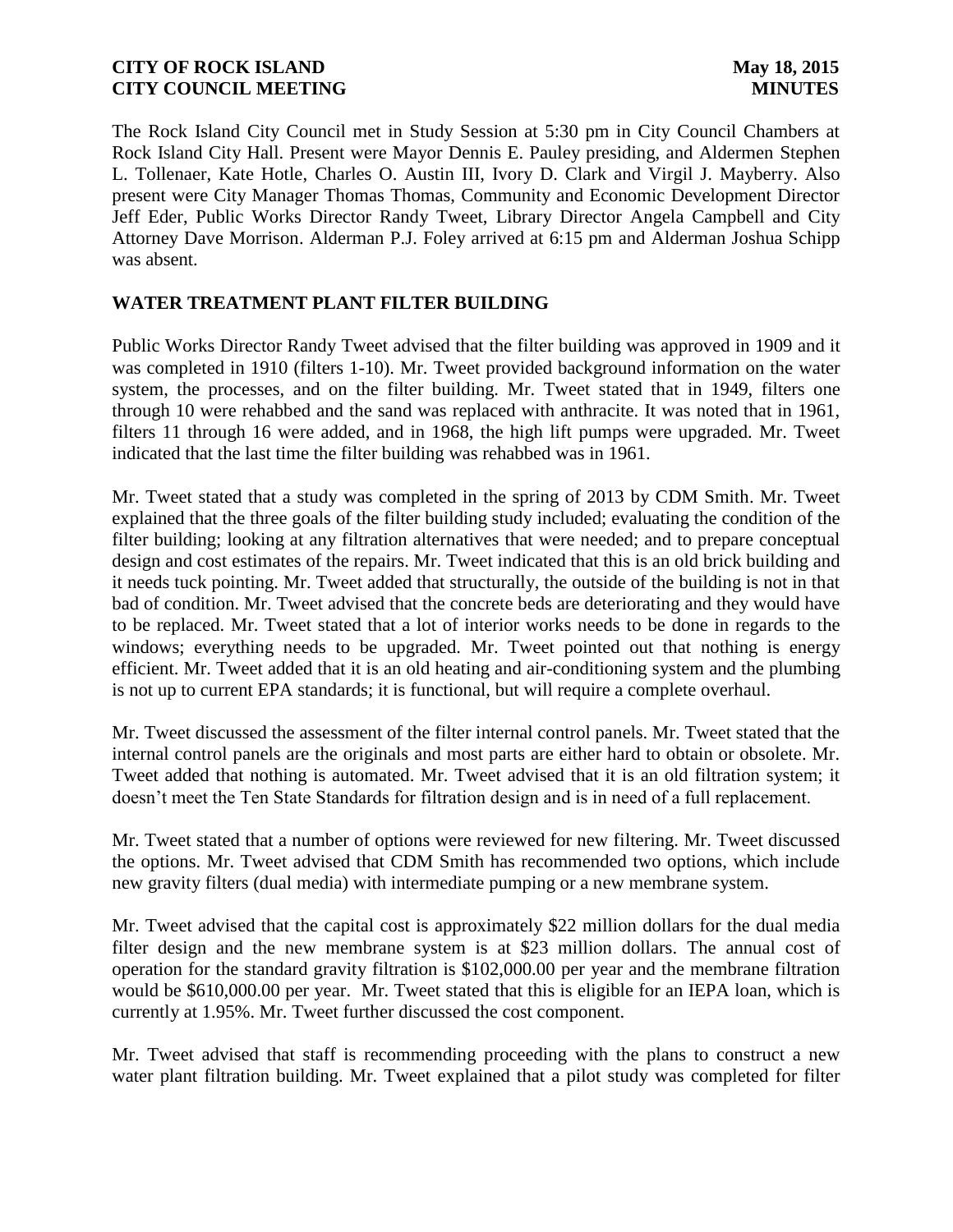The Rock Island City Council met in Study Session at 5:30 pm in City Council Chambers at Rock Island City Hall. Present were Mayor Dennis E. Pauley presiding, and Aldermen Stephen L. Tollenaer, Kate Hotle, Charles O. Austin III, Ivory D. Clark and Virgil J. Mayberry. Also present were City Manager Thomas Thomas, Community and Economic Development Director Jeff Eder, Public Works Director Randy Tweet, Library Director Angela Campbell and City Attorney Dave Morrison. Alderman P.J. Foley arrived at 6:15 pm and Alderman Joshua Schipp was absent.

## **WATER TREATMENT PLANT FILTER BUILDING**

Public Works Director Randy Tweet advised that the filter building was approved in 1909 and it was completed in 1910 (filters 1-10). Mr. Tweet provided background information on the water system, the processes, and on the filter building. Mr. Tweet stated that in 1949, filters one through 10 were rehabbed and the sand was replaced with anthracite. It was noted that in 1961, filters 11 through 16 were added, and in 1968, the high lift pumps were upgraded. Mr. Tweet indicated that the last time the filter building was rehabbed was in 1961.

Mr. Tweet stated that a study was completed in the spring of 2013 by CDM Smith. Mr. Tweet explained that the three goals of the filter building study included; evaluating the condition of the filter building; looking at any filtration alternatives that were needed; and to prepare conceptual design and cost estimates of the repairs. Mr. Tweet indicated that this is an old brick building and it needs tuck pointing. Mr. Tweet added that structurally, the outside of the building is not in that bad of condition. Mr. Tweet advised that the concrete beds are deteriorating and they would have to be replaced. Mr. Tweet stated that a lot of interior works needs to be done in regards to the windows; everything needs to be upgraded. Mr. Tweet pointed out that nothing is energy efficient. Mr. Tweet added that it is an old heating and air-conditioning system and the plumbing is not up to current EPA standards; it is functional, but will require a complete overhaul.

Mr. Tweet discussed the assessment of the filter internal control panels. Mr. Tweet stated that the internal control panels are the originals and most parts are either hard to obtain or obsolete. Mr. Tweet added that nothing is automated. Mr. Tweet advised that it is an old filtration system; it doesn't meet the Ten State Standards for filtration design and is in need of a full replacement.

Mr. Tweet stated that a number of options were reviewed for new filtering. Mr. Tweet discussed the options. Mr. Tweet advised that CDM Smith has recommended two options, which include new gravity filters (dual media) with intermediate pumping or a new membrane system.

Mr. Tweet advised that the capital cost is approximately \$22 million dollars for the dual media filter design and the new membrane system is at \$23 million dollars. The annual cost of operation for the standard gravity filtration is \$102,000.00 per year and the membrane filtration would be \$610,000.00 per year. Mr. Tweet stated that this is eligible for an IEPA loan, which is currently at 1.95%. Mr. Tweet further discussed the cost component.

Mr. Tweet advised that staff is recommending proceeding with the plans to construct a new water plant filtration building. Mr. Tweet explained that a pilot study was completed for filter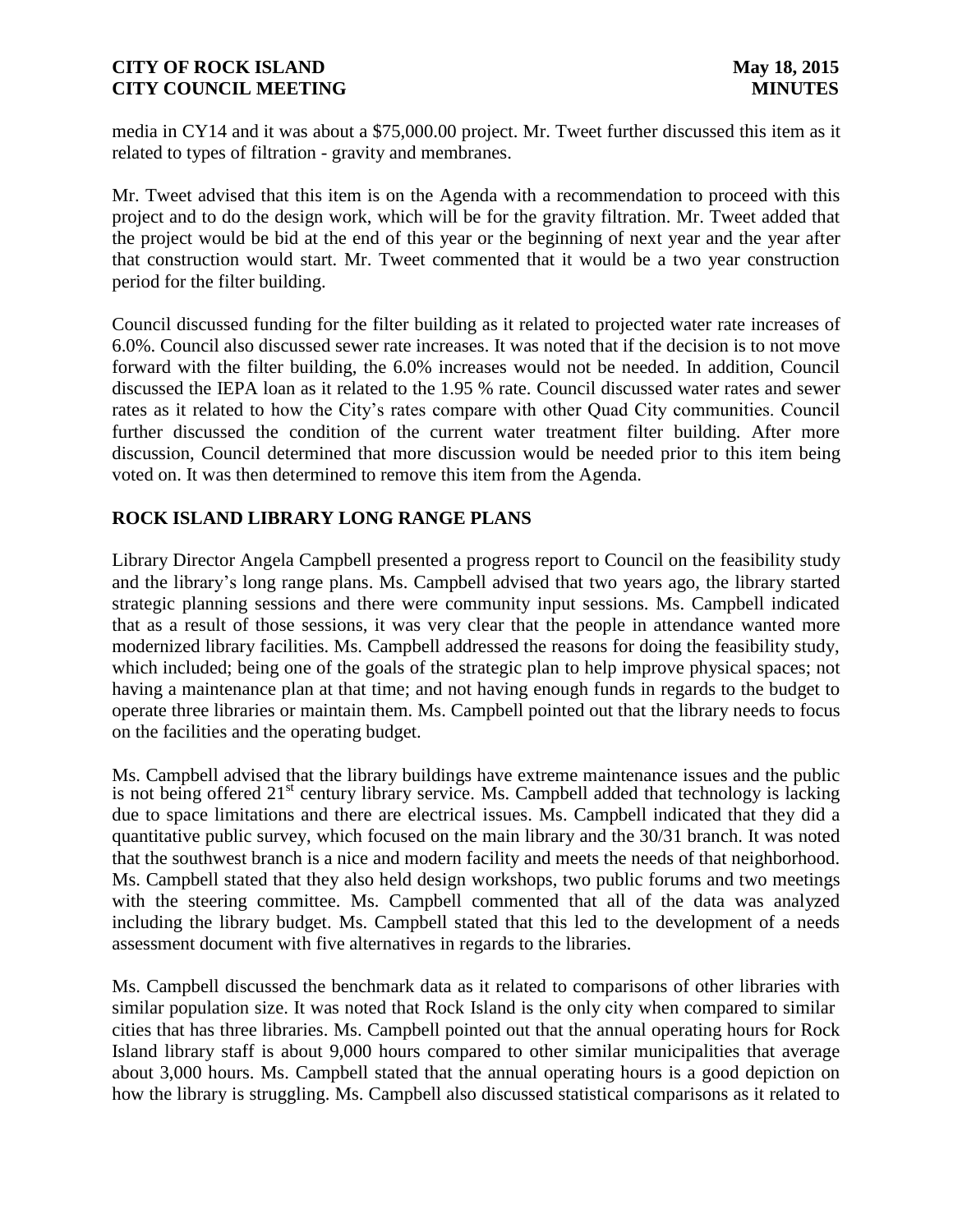media in CY14 and it was about a \$75,000.00 project. Mr. Tweet further discussed this item as it related to types of filtration - gravity and membranes.

Mr. Tweet advised that this item is on the Agenda with a recommendation to proceed with this project and to do the design work, which will be for the gravity filtration. Mr. Tweet added that the project would be bid at the end of this year or the beginning of next year and the year after that construction would start. Mr. Tweet commented that it would be a two year construction period for the filter building.

Council discussed funding for the filter building as it related to projected water rate increases of 6.0%. Council also discussed sewer rate increases. It was noted that if the decision is to not move forward with the filter building, the 6.0% increases would not be needed. In addition, Council discussed the IEPA loan as it related to the 1.95 % rate. Council discussed water rates and sewer rates as it related to how the City's rates compare with other Quad City communities. Council further discussed the condition of the current water treatment filter building. After more discussion, Council determined that more discussion would be needed prior to this item being voted on. It was then determined to remove this item from the Agenda.

# **ROCK ISLAND LIBRARY LONG RANGE PLANS**

Library Director Angela Campbell presented a progress report to Council on the feasibility study and the library's long range plans. Ms. Campbell advised that two years ago, the library started strategic planning sessions and there were community input sessions. Ms. Campbell indicated that as a result of those sessions, it was very clear that the people in attendance wanted more modernized library facilities. Ms. Campbell addressed the reasons for doing the feasibility study, which included; being one of the goals of the strategic plan to help improve physical spaces; not having a maintenance plan at that time; and not having enough funds in regards to the budget to operate three libraries or maintain them. Ms. Campbell pointed out that the library needs to focus on the facilities and the operating budget.

Ms. Campbell advised that the library buildings have extreme maintenance issues and the public is not being offered  $21<sup>st</sup>$  century library service. Ms. Campbell added that technology is lacking due to space limitations and there are electrical issues. Ms. Campbell indicated that they did a quantitative public survey, which focused on the main library and the 30/31 branch. It was noted that the southwest branch is a nice and modern facility and meets the needs of that neighborhood. Ms. Campbell stated that they also held design workshops, two public forums and two meetings with the steering committee. Ms. Campbell commented that all of the data was analyzed including the library budget. Ms. Campbell stated that this led to the development of a needs assessment document with five alternatives in regards to the libraries.

Ms. Campbell discussed the benchmark data as it related to comparisons of other libraries with similar population size. It was noted that Rock Island is the only city when compared to similar cities that has three libraries. Ms. Campbell pointed out that the annual operating hours for Rock Island library staff is about 9,000 hours compared to other similar municipalities that average about 3,000 hours. Ms. Campbell stated that the annual operating hours is a good depiction on how the library is struggling. Ms. Campbell also discussed statistical comparisons as it related to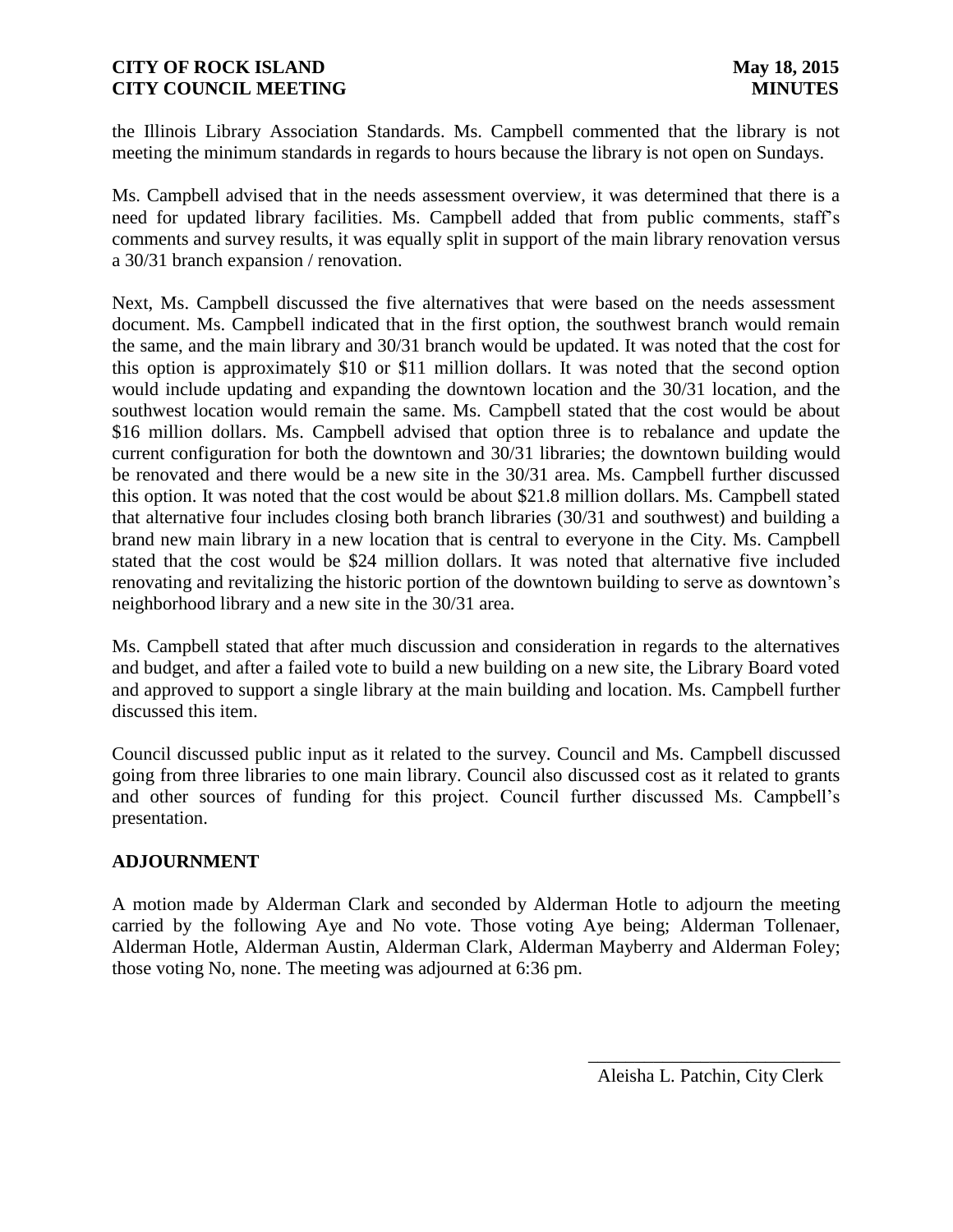the Illinois Library Association Standards. Ms. Campbell commented that the library is not meeting the minimum standards in regards to hours because the library is not open on Sundays.

Ms. Campbell advised that in the needs assessment overview, it was determined that there is a need for updated library facilities. Ms. Campbell added that from public comments, staff's comments and survey results, it was equally split in support of the main library renovation versus a 30/31 branch expansion / renovation.

Next, Ms. Campbell discussed the five alternatives that were based on the needs assessment document. Ms. Campbell indicated that in the first option, the southwest branch would remain the same, and the main library and 30/31 branch would be updated. It was noted that the cost for this option is approximately \$10 or \$11 million dollars. It was noted that the second option would include updating and expanding the downtown location and the 30/31 location, and the southwest location would remain the same. Ms. Campbell stated that the cost would be about \$16 million dollars. Ms. Campbell advised that option three is to rebalance and update the current configuration for both the downtown and 30/31 libraries; the downtown building would be renovated and there would be a new site in the 30/31 area. Ms. Campbell further discussed this option. It was noted that the cost would be about \$21.8 million dollars. Ms. Campbell stated that alternative four includes closing both branch libraries (30/31 and southwest) and building a brand new main library in a new location that is central to everyone in the City. Ms. Campbell stated that the cost would be \$24 million dollars. It was noted that alternative five included renovating and revitalizing the historic portion of the downtown building to serve as downtown's neighborhood library and a new site in the 30/31 area.

Ms. Campbell stated that after much discussion and consideration in regards to the alternatives and budget, and after a failed vote to build a new building on a new site, the Library Board voted and approved to support a single library at the main building and location. Ms. Campbell further discussed this item.

Council discussed public input as it related to the survey. Council and Ms. Campbell discussed going from three libraries to one main library. Council also discussed cost as it related to grants and other sources of funding for this project. Council further discussed Ms. Campbell's presentation.

# **ADJOURNMENT**

A motion made by Alderman Clark and seconded by Alderman Hotle to adjourn the meeting carried by the following Aye and No vote. Those voting Aye being; Alderman Tollenaer, Alderman Hotle, Alderman Austin, Alderman Clark, Alderman Mayberry and Alderman Foley; those voting No, none. The meeting was adjourned at 6:36 pm.

 $\frac{1}{2}$  ,  $\frac{1}{2}$  ,  $\frac{1}{2}$  ,  $\frac{1}{2}$  ,  $\frac{1}{2}$  ,  $\frac{1}{2}$  ,  $\frac{1}{2}$  ,  $\frac{1}{2}$  ,  $\frac{1}{2}$  ,  $\frac{1}{2}$  ,  $\frac{1}{2}$  ,  $\frac{1}{2}$  ,  $\frac{1}{2}$  ,  $\frac{1}{2}$  ,  $\frac{1}{2}$  ,  $\frac{1}{2}$  ,  $\frac{1}{2}$  ,  $\frac{1}{2}$  ,  $\frac{1$ 

Aleisha L. Patchin, City Clerk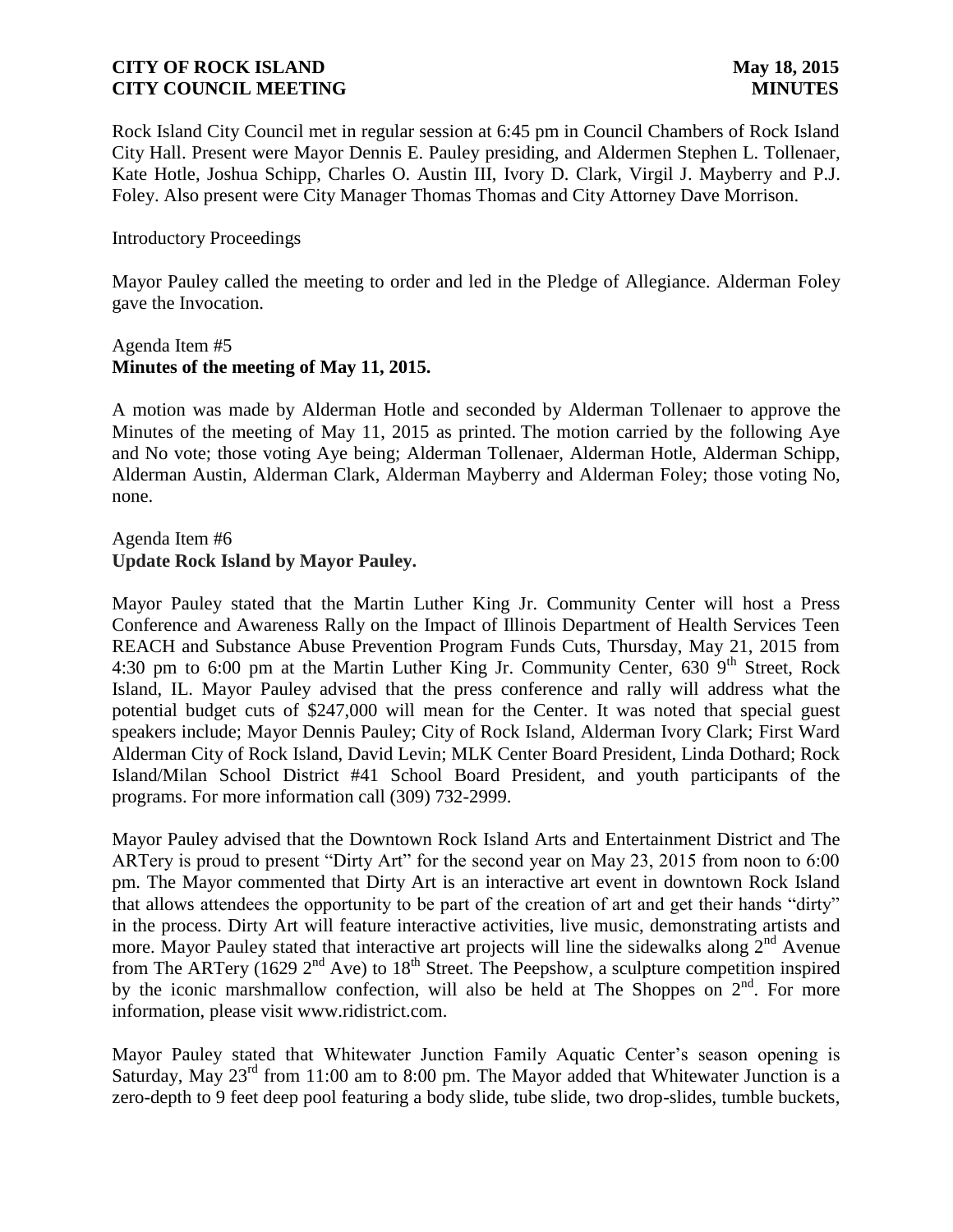Rock Island City Council met in regular session at 6:45 pm in Council Chambers of Rock Island City Hall. Present were Mayor Dennis E. Pauley presiding, and Aldermen Stephen L. Tollenaer, Kate Hotle, Joshua Schipp, Charles O. Austin III, Ivory D. Clark, Virgil J. Mayberry and P.J. Foley. Also present were City Manager Thomas Thomas and City Attorney Dave Morrison.

### Introductory Proceedings

Mayor Pauley called the meeting to order and led in the Pledge of Allegiance. Alderman Foley gave the Invocation.

### Agenda Item #5 **Minutes of the meeting of May 11, 2015.**

A motion was made by Alderman Hotle and seconded by Alderman Tollenaer to approve the Minutes of the meeting of May 11, 2015 as printed. The motion carried by the following Aye and No vote; those voting Aye being; Alderman Tollenaer, Alderman Hotle, Alderman Schipp, Alderman Austin, Alderman Clark, Alderman Mayberry and Alderman Foley; those voting No, none.

### Agenda Item #6 **Update Rock Island by Mayor Pauley.**

Mayor Pauley stated that the Martin Luther King Jr. Community Center will host a Press Conference and Awareness Rally on the Impact of Illinois Department of Health Services Teen REACH and Substance Abuse Prevention Program Funds Cuts, Thursday, May 21, 2015 from 4:30 pm to 6:00 pm at the Martin Luther King Jr. Community Center, 630 9<sup>th</sup> Street, Rock Island, IL. Mayor Pauley advised that the press conference and rally will address what the potential budget cuts of \$247,000 will mean for the Center. It was noted that special guest speakers include; Mayor Dennis Pauley; City of Rock Island, Alderman Ivory Clark; First Ward Alderman City of Rock Island, David Levin; MLK Center Board President, Linda Dothard; Rock Island/Milan School District #41 School Board President, and youth participants of the programs. For more information call (309) 732-2999.

Mayor Pauley advised that the Downtown Rock Island Arts and Entertainment District and The ARTery is proud to present "Dirty Art" for the second year on May 23, 2015 from noon to 6:00 pm. The Mayor commented that Dirty Art is an interactive art event in downtown Rock Island that allows attendees the opportunity to be part of the creation of art and get their hands "dirty" in the process. Dirty Art will feature interactive activities, live music, demonstrating artists and more. Mayor Pauley stated that interactive art projects will line the sidewalks along  $2<sup>nd</sup>$  Avenue from The ARTery (1629  $2<sup>nd</sup>$  Ave) to 18<sup>th</sup> Street. The Peepshow, a sculpture competition inspired by the iconic marshmallow confection, will also be held at The Shoppes on 2<sup>nd</sup>. For more information, please visit www.ridistrict.com.

Mayor Pauley stated that Whitewater Junction Family Aquatic Center's season opening is Saturday, May  $23^{rd}$  from 11:00 am to 8:00 pm. The Mayor added that Whitewater Junction is a zero-depth to 9 feet deep pool featuring a body slide, tube slide, two drop-slides, tumble buckets,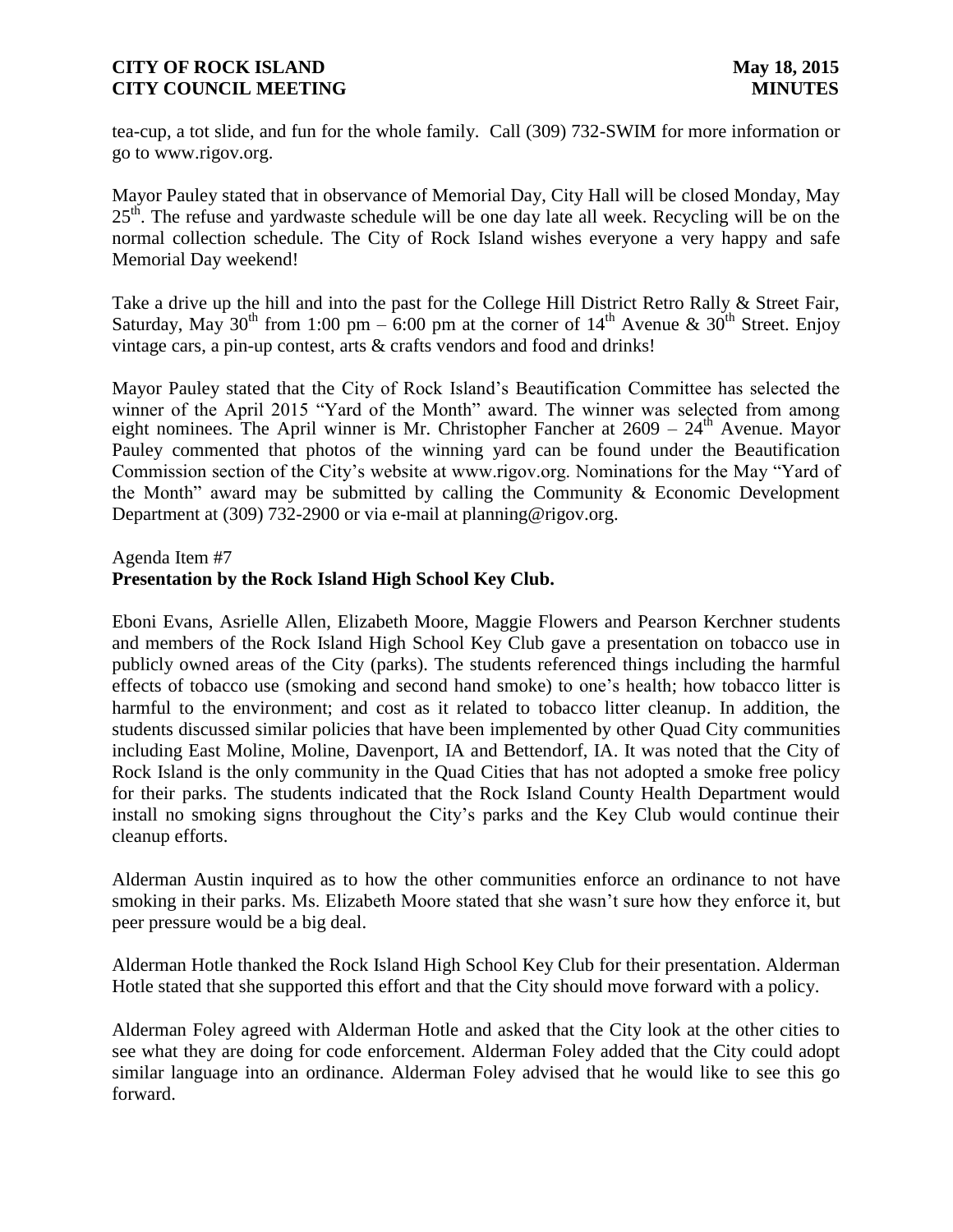tea-cup, a tot slide, and fun for the whole family. Call (309) 732-SWIM for more information or go to www.rigov.org.

Mayor Pauley stated that in observance of Memorial Day, City Hall will be closed Monday, May 25<sup>th</sup>. The refuse and yardwaste schedule will be one day late all week. Recycling will be on the normal collection schedule. The City of Rock Island wishes everyone a very happy and safe Memorial Day weekend!

Take a drive up the hill and into the past for the College Hill District Retro Rally & Street Fair, Saturday, May 30<sup>th</sup> from 1:00 pm – 6:00 pm at the corner of 14<sup>th</sup> Avenue & 30<sup>th</sup> Street. Enjoy vintage cars, a pin-up contest, arts & crafts vendors and food and drinks!

Mayor Pauley stated that the City of Rock Island's Beautification Committee has selected the winner of the April 2015 "Yard of the Month" award. The winner was selected from among eight nominees. The April winner is Mr. Christopher Fancher at 2609 – 24<sup>th</sup> Avenue. Mayor Pauley commented that photos of the winning yard can be found under the Beautification Commission section of the City's website at www.rigov.org. Nominations for the May "Yard of the Month" award may be submitted by calling the Community & Economic Development Department at (309) 732-2900 or via e-mail at planning@rigov.org.

### Agenda Item #7

# **Presentation by the Rock Island High School Key Club.**

Eboni Evans, Asrielle Allen, Elizabeth Moore, Maggie Flowers and Pearson Kerchner students and members of the Rock Island High School Key Club gave a presentation on tobacco use in publicly owned areas of the City (parks). The students referenced things including the harmful effects of tobacco use (smoking and second hand smoke) to one's health; how tobacco litter is harmful to the environment; and cost as it related to tobacco litter cleanup. In addition, the students discussed similar policies that have been implemented by other Quad City communities including East Moline, Moline, Davenport, IA and Bettendorf, IA. It was noted that the City of Rock Island is the only community in the Quad Cities that has not adopted a smoke free policy for their parks. The students indicated that the Rock Island County Health Department would install no smoking signs throughout the City's parks and the Key Club would continue their cleanup efforts.

Alderman Austin inquired as to how the other communities enforce an ordinance to not have smoking in their parks. Ms. Elizabeth Moore stated that she wasn't sure how they enforce it, but peer pressure would be a big deal.

Alderman Hotle thanked the Rock Island High School Key Club for their presentation. Alderman Hotle stated that she supported this effort and that the City should move forward with a policy.

Alderman Foley agreed with Alderman Hotle and asked that the City look at the other cities to see what they are doing for code enforcement. Alderman Foley added that the City could adopt similar language into an ordinance. Alderman Foley advised that he would like to see this go forward.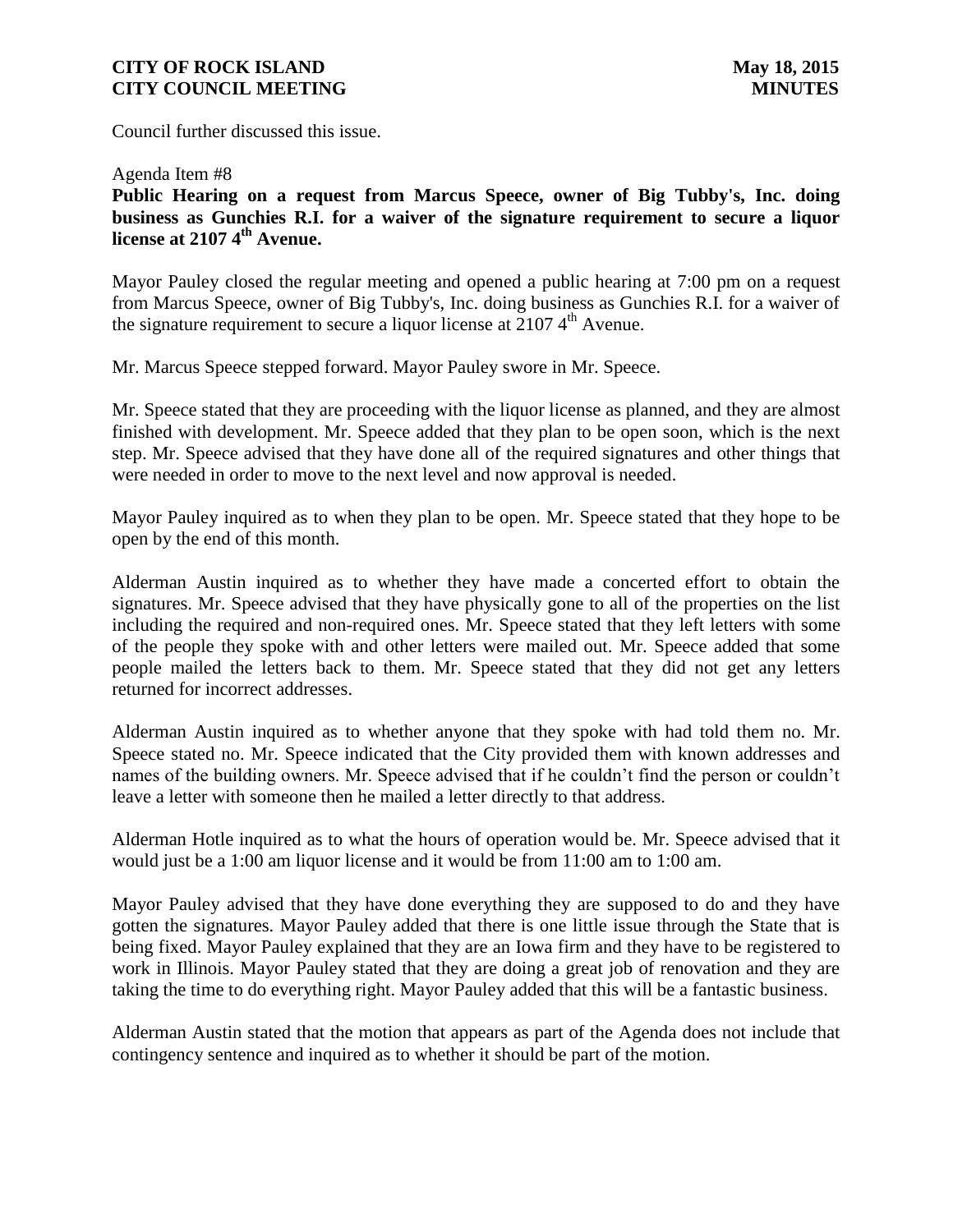Council further discussed this issue.

Agenda Item #8

**Public Hearing on a request from Marcus Speece, owner of Big Tubby's, Inc. doing business as Gunchies R.I. for a waiver of the signature requirement to secure a liquor license at 2107 4th Avenue.**

Mayor Pauley closed the regular meeting and opened a public hearing at 7:00 pm on a request from Marcus Speece, owner of Big Tubby's, Inc. doing business as Gunchies R.I. for a waiver of the signature requirement to secure a liquor license at  $21074^{\text{th}}$  Avenue.

Mr. Marcus Speece stepped forward. Mayor Pauley swore in Mr. Speece.

Mr. Speece stated that they are proceeding with the liquor license as planned, and they are almost finished with development. Mr. Speece added that they plan to be open soon, which is the next step. Mr. Speece advised that they have done all of the required signatures and other things that were needed in order to move to the next level and now approval is needed.

Mayor Pauley inquired as to when they plan to be open. Mr. Speece stated that they hope to be open by the end of this month.

Alderman Austin inquired as to whether they have made a concerted effort to obtain the signatures. Mr. Speece advised that they have physically gone to all of the properties on the list including the required and non-required ones. Mr. Speece stated that they left letters with some of the people they spoke with and other letters were mailed out. Mr. Speece added that some people mailed the letters back to them. Mr. Speece stated that they did not get any letters returned for incorrect addresses.

Alderman Austin inquired as to whether anyone that they spoke with had told them no. Mr. Speece stated no. Mr. Speece indicated that the City provided them with known addresses and names of the building owners. Mr. Speece advised that if he couldn't find the person or couldn't leave a letter with someone then he mailed a letter directly to that address.

Alderman Hotle inquired as to what the hours of operation would be. Mr. Speece advised that it would just be a 1:00 am liquor license and it would be from 11:00 am to 1:00 am.

Mayor Pauley advised that they have done everything they are supposed to do and they have gotten the signatures. Mayor Pauley added that there is one little issue through the State that is being fixed. Mayor Pauley explained that they are an Iowa firm and they have to be registered to work in Illinois. Mayor Pauley stated that they are doing a great job of renovation and they are taking the time to do everything right. Mayor Pauley added that this will be a fantastic business.

Alderman Austin stated that the motion that appears as part of the Agenda does not include that contingency sentence and inquired as to whether it should be part of the motion.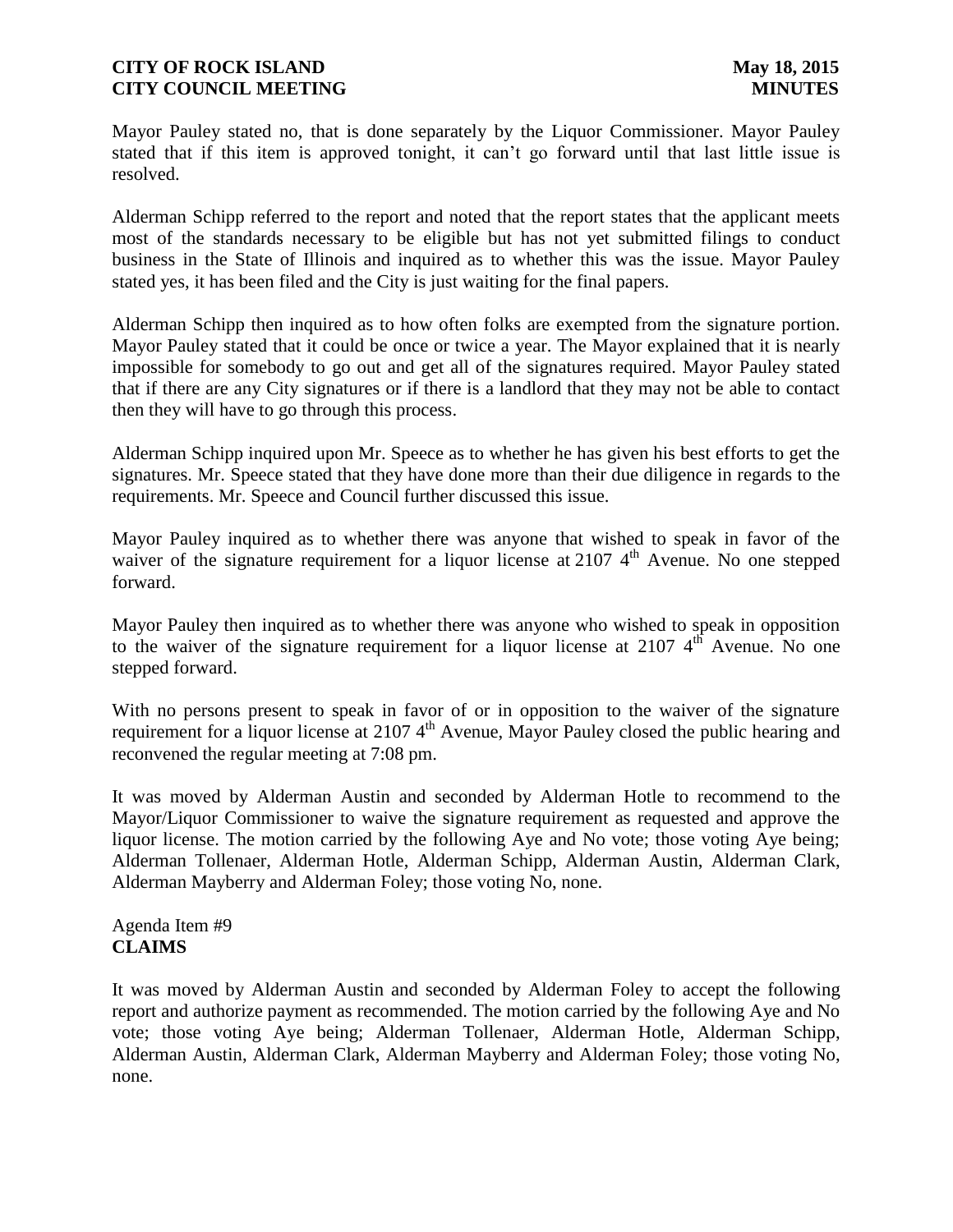Mayor Pauley stated no, that is done separately by the Liquor Commissioner. Mayor Pauley stated that if this item is approved tonight, it can't go forward until that last little issue is resolved.

Alderman Schipp referred to the report and noted that the report states that the applicant meets most of the standards necessary to be eligible but has not yet submitted filings to conduct business in the State of Illinois and inquired as to whether this was the issue. Mayor Pauley stated yes, it has been filed and the City is just waiting for the final papers.

Alderman Schipp then inquired as to how often folks are exempted from the signature portion. Mayor Pauley stated that it could be once or twice a year. The Mayor explained that it is nearly impossible for somebody to go out and get all of the signatures required. Mayor Pauley stated that if there are any City signatures or if there is a landlord that they may not be able to contact then they will have to go through this process.

Alderman Schipp inquired upon Mr. Speece as to whether he has given his best efforts to get the signatures. Mr. Speece stated that they have done more than their due diligence in regards to the requirements. Mr. Speece and Council further discussed this issue.

Mayor Pauley inquired as to whether there was anyone that wished to speak in favor of the waiver of the signature requirement for a liquor license at 2107  $4<sup>th</sup>$  Avenue. No one stepped forward.

Mayor Pauley then inquired as to whether there was anyone who wished to speak in opposition to the waiver of the signature requirement for a liquor license at 2107  $4<sup>th</sup>$  Avenue. No one stepped forward.

With no persons present to speak in favor of or in opposition to the waiver of the signature requirement for a liquor license at 2107  $4<sup>th</sup>$  Avenue, Mayor Pauley closed the public hearing and reconvened the regular meeting at 7:08 pm.

It was moved by Alderman Austin and seconded by Alderman Hotle to recommend to the Mayor/Liquor Commissioner to waive the signature requirement as requested and approve the liquor license. The motion carried by the following Aye and No vote; those voting Aye being; Alderman Tollenaer, Alderman Hotle, Alderman Schipp, Alderman Austin, Alderman Clark, Alderman Mayberry and Alderman Foley; those voting No, none.

Agenda Item #9 **CLAIMS**

It was moved by Alderman Austin and seconded by Alderman Foley to accept the following report and authorize payment as recommended. The motion carried by the following Aye and No vote; those voting Aye being; Alderman Tollenaer, Alderman Hotle, Alderman Schipp, Alderman Austin, Alderman Clark, Alderman Mayberry and Alderman Foley; those voting No, none.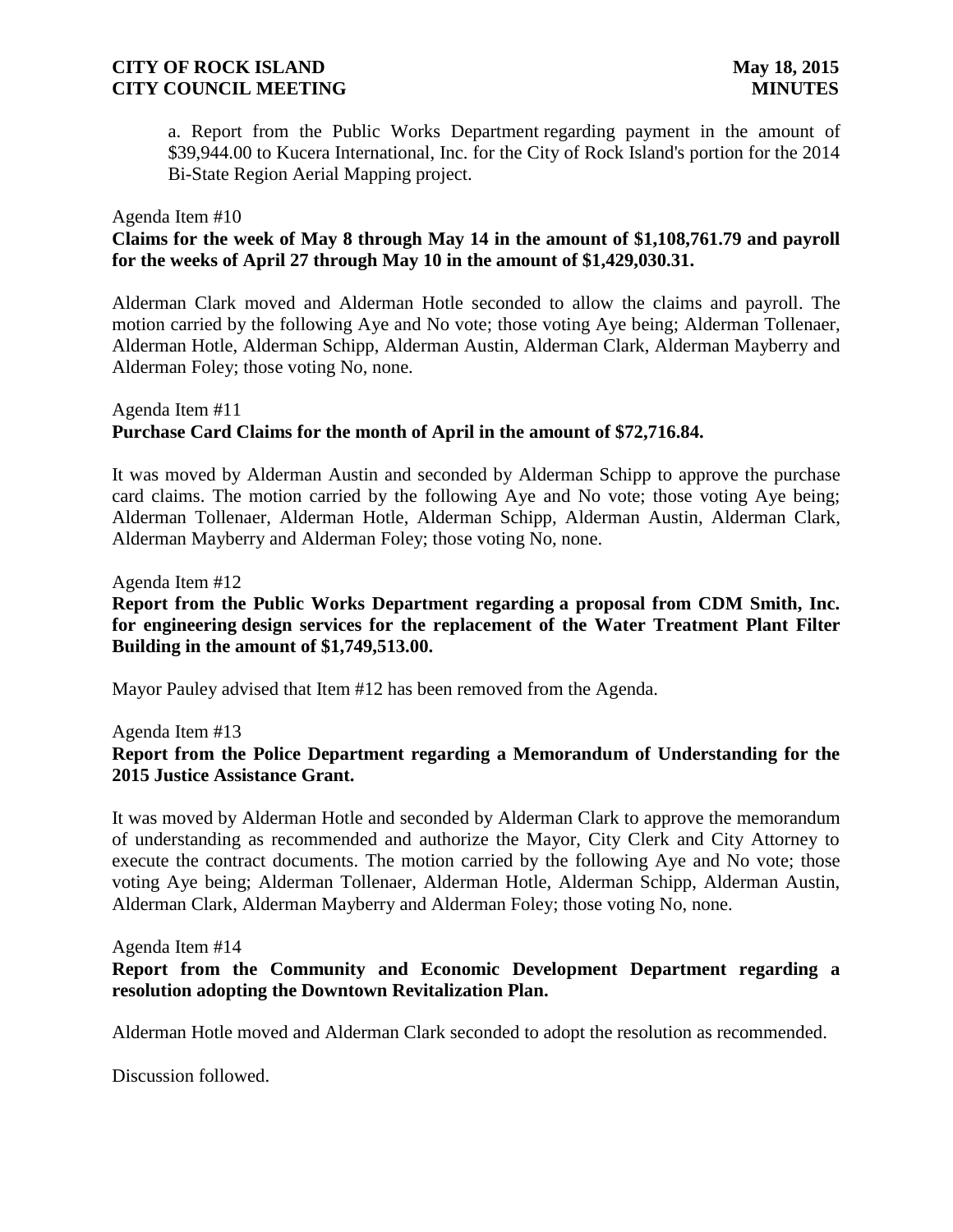a. Report from the Public Works Department regarding payment in the amount of \$39,944.00 to Kucera International, Inc. for the City of Rock Island's portion for the 2014 Bi-State Region Aerial Mapping project.

### Agenda Item #10

## **Claims for the week of May 8 through May 14 in the amount of \$1,108,761.79 and payroll for the weeks of April 27 through May 10 in the amount of \$1,429,030.31.**

Alderman Clark moved and Alderman Hotle seconded to allow the claims and payroll. The motion carried by the following Aye and No vote; those voting Aye being; Alderman Tollenaer, Alderman Hotle, Alderman Schipp, Alderman Austin, Alderman Clark, Alderman Mayberry and Alderman Foley; those voting No, none.

### Agenda Item #11 **Purchase Card Claims for the month of April in the amount of \$72,716.84.**

It was moved by Alderman Austin and seconded by Alderman Schipp to approve the purchase card claims. The motion carried by the following Aye and No vote; those voting Aye being; Alderman Tollenaer, Alderman Hotle, Alderman Schipp, Alderman Austin, Alderman Clark, Alderman Mayberry and Alderman Foley; those voting No, none.

#### Agenda Item #12

## **Report from the Public Works Department regarding a proposal from CDM Smith, Inc. for engineering design services for the replacement of the Water Treatment Plant Filter Building in the amount of \$1,749,513.00.**

Mayor Pauley advised that Item #12 has been removed from the Agenda.

Agenda Item #13

## **Report from the Police Department regarding a Memorandum of Understanding for the 2015 Justice Assistance Grant.**

It was moved by Alderman Hotle and seconded by Alderman Clark to approve the memorandum of understanding as recommended and authorize the Mayor, City Clerk and City Attorney to execute the contract documents. The motion carried by the following Aye and No vote; those voting Aye being; Alderman Tollenaer, Alderman Hotle, Alderman Schipp, Alderman Austin, Alderman Clark, Alderman Mayberry and Alderman Foley; those voting No, none.

#### Agenda Item #14

## **Report from the Community and Economic Development Department regarding a resolution adopting the Downtown Revitalization Plan.**

Alderman Hotle moved and Alderman Clark seconded to adopt the resolution as recommended.

Discussion followed.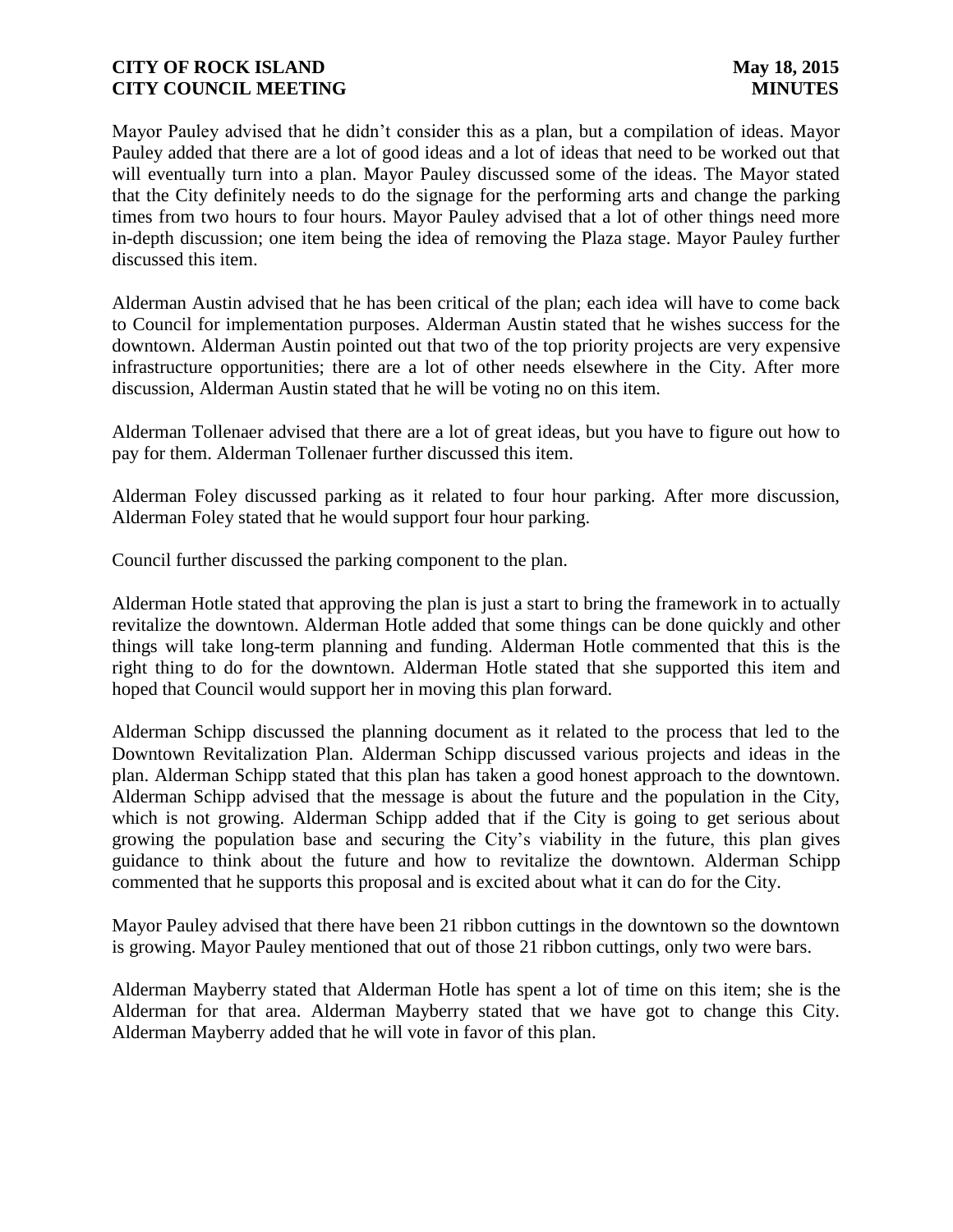Mayor Pauley advised that he didn't consider this as a plan, but a compilation of ideas. Mayor Pauley added that there are a lot of good ideas and a lot of ideas that need to be worked out that will eventually turn into a plan. Mayor Pauley discussed some of the ideas. The Mayor stated that the City definitely needs to do the signage for the performing arts and change the parking times from two hours to four hours. Mayor Pauley advised that a lot of other things need more in-depth discussion; one item being the idea of removing the Plaza stage. Mayor Pauley further discussed this item.

Alderman Austin advised that he has been critical of the plan; each idea will have to come back to Council for implementation purposes. Alderman Austin stated that he wishes success for the downtown. Alderman Austin pointed out that two of the top priority projects are very expensive infrastructure opportunities; there are a lot of other needs elsewhere in the City. After more discussion, Alderman Austin stated that he will be voting no on this item.

Alderman Tollenaer advised that there are a lot of great ideas, but you have to figure out how to pay for them. Alderman Tollenaer further discussed this item.

Alderman Foley discussed parking as it related to four hour parking. After more discussion, Alderman Foley stated that he would support four hour parking.

Council further discussed the parking component to the plan.

Alderman Hotle stated that approving the plan is just a start to bring the framework in to actually revitalize the downtown. Alderman Hotle added that some things can be done quickly and other things will take long-term planning and funding. Alderman Hotle commented that this is the right thing to do for the downtown. Alderman Hotle stated that she supported this item and hoped that Council would support her in moving this plan forward.

Alderman Schipp discussed the planning document as it related to the process that led to the Downtown Revitalization Plan. Alderman Schipp discussed various projects and ideas in the plan. Alderman Schipp stated that this plan has taken a good honest approach to the downtown. Alderman Schipp advised that the message is about the future and the population in the City, which is not growing. Alderman Schipp added that if the City is going to get serious about growing the population base and securing the City's viability in the future, this plan gives guidance to think about the future and how to revitalize the downtown. Alderman Schipp commented that he supports this proposal and is excited about what it can do for the City.

Mayor Pauley advised that there have been 21 ribbon cuttings in the downtown so the downtown is growing. Mayor Pauley mentioned that out of those 21 ribbon cuttings, only two were bars.

Alderman Mayberry stated that Alderman Hotle has spent a lot of time on this item; she is the Alderman for that area. Alderman Mayberry stated that we have got to change this City. Alderman Mayberry added that he will vote in favor of this plan.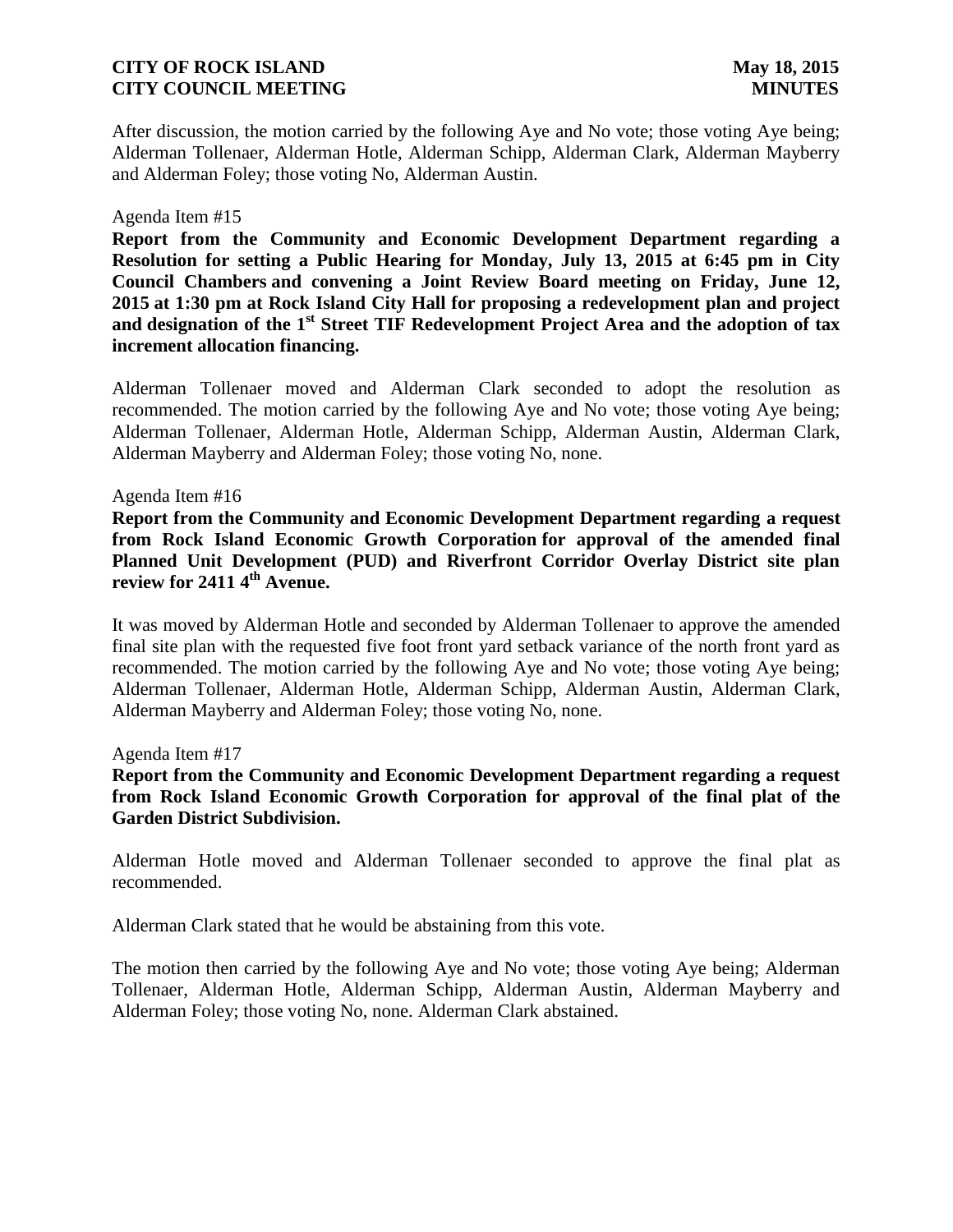After discussion, the motion carried by the following Aye and No vote; those voting Aye being; Alderman Tollenaer, Alderman Hotle, Alderman Schipp, Alderman Clark, Alderman Mayberry and Alderman Foley; those voting No, Alderman Austin.

### Agenda Item #15

**Report from the Community and Economic Development Department regarding a Resolution for setting a Public Hearing for Monday, July 13, 2015 at 6:45 pm in City Council Chambers and convening a Joint Review Board meeting on Friday, June 12, 2015 at 1:30 pm at Rock Island City Hall for proposing a redevelopment plan and project and designation of the 1st Street TIF Redevelopment Project Area and the adoption of tax increment allocation financing.** 

Alderman Tollenaer moved and Alderman Clark seconded to adopt the resolution as recommended. The motion carried by the following Aye and No vote; those voting Aye being; Alderman Tollenaer, Alderman Hotle, Alderman Schipp, Alderman Austin, Alderman Clark, Alderman Mayberry and Alderman Foley; those voting No, none.

#### Agenda Item #16

**Report from the Community and Economic Development Department regarding a request from Rock Island Economic Growth Corporation for approval of the amended final Planned Unit Development (PUD) and Riverfront Corridor Overlay District site plan review for 2411 4th Avenue.**

It was moved by Alderman Hotle and seconded by Alderman Tollenaer to approve the amended final site plan with the requested five foot front yard setback variance of the north front yard as recommended. The motion carried by the following Aye and No vote; those voting Aye being; Alderman Tollenaer, Alderman Hotle, Alderman Schipp, Alderman Austin, Alderman Clark, Alderman Mayberry and Alderman Foley; those voting No, none.

Agenda Item #17

**Report from the Community and Economic Development Department regarding a request from Rock Island Economic Growth Corporation for approval of the final plat of the Garden District Subdivision.**

Alderman Hotle moved and Alderman Tollenaer seconded to approve the final plat as recommended.

Alderman Clark stated that he would be abstaining from this vote.

The motion then carried by the following Aye and No vote; those voting Aye being; Alderman Tollenaer, Alderman Hotle, Alderman Schipp, Alderman Austin, Alderman Mayberry and Alderman Foley; those voting No, none. Alderman Clark abstained.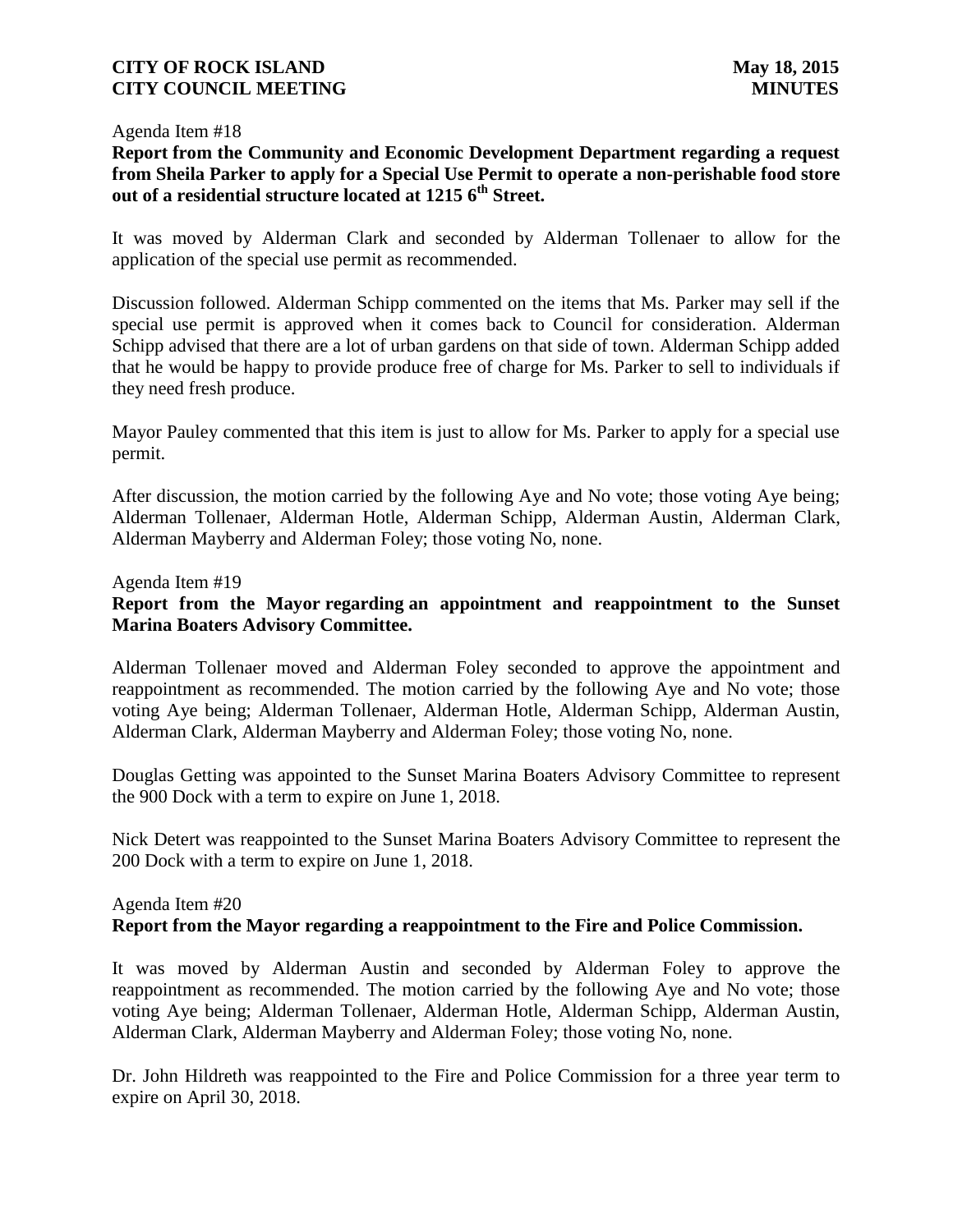### Agenda Item #18

**Report from the Community and Economic Development Department regarding a request from Sheila Parker to apply for a Special Use Permit to operate a non-perishable food store out of a residential structure located at 1215 6th Street.**

It was moved by Alderman Clark and seconded by Alderman Tollenaer to allow for the application of the special use permit as recommended.

Discussion followed. Alderman Schipp commented on the items that Ms. Parker may sell if the special use permit is approved when it comes back to Council for consideration. Alderman Schipp advised that there are a lot of urban gardens on that side of town. Alderman Schipp added that he would be happy to provide produce free of charge for Ms. Parker to sell to individuals if they need fresh produce.

Mayor Pauley commented that this item is just to allow for Ms. Parker to apply for a special use permit.

After discussion, the motion carried by the following Aye and No vote; those voting Aye being; Alderman Tollenaer, Alderman Hotle, Alderman Schipp, Alderman Austin, Alderman Clark, Alderman Mayberry and Alderman Foley; those voting No, none.

### Agenda Item #19

## **Report from the Mayor regarding an appointment and reappointment to the Sunset Marina Boaters Advisory Committee.**

Alderman Tollenaer moved and Alderman Foley seconded to approve the appointment and reappointment as recommended. The motion carried by the following Aye and No vote; those voting Aye being; Alderman Tollenaer, Alderman Hotle, Alderman Schipp, Alderman Austin, Alderman Clark, Alderman Mayberry and Alderman Foley; those voting No, none.

Douglas Getting was appointed to the Sunset Marina Boaters Advisory Committee to represent the 900 Dock with a term to expire on June 1, 2018.

Nick Detert was reappointed to the Sunset Marina Boaters Advisory Committee to represent the 200 Dock with a term to expire on June 1, 2018.

# Agenda Item #20 **Report from the Mayor regarding a reappointment to the Fire and Police Commission.**

It was moved by Alderman Austin and seconded by Alderman Foley to approve the reappointment as recommended. The motion carried by the following Aye and No vote; those voting Aye being; Alderman Tollenaer, Alderman Hotle, Alderman Schipp, Alderman Austin, Alderman Clark, Alderman Mayberry and Alderman Foley; those voting No, none.

Dr. John Hildreth was reappointed to the Fire and Police Commission for a three year term to expire on April 30, 2018.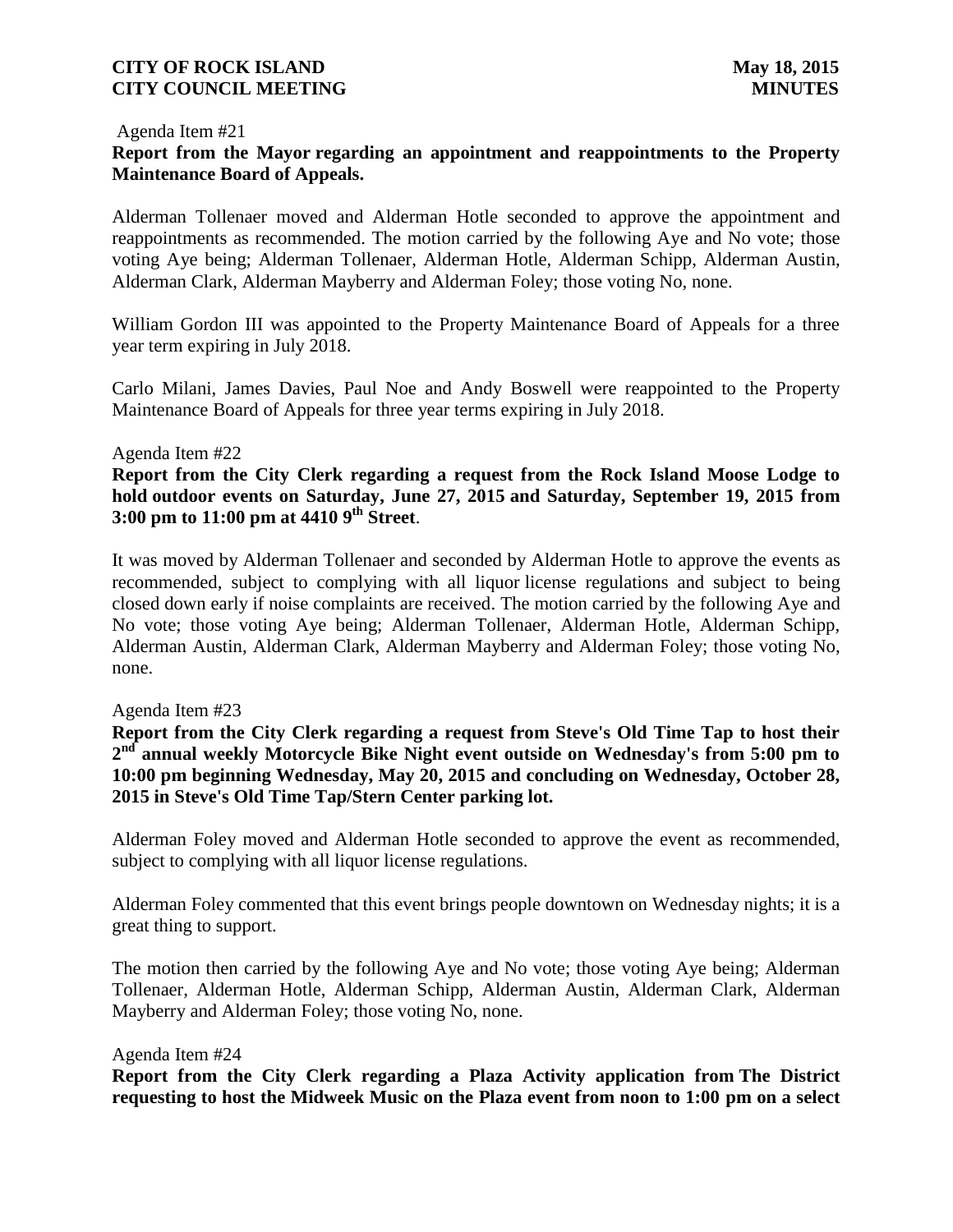#### Agenda Item #21

# **Report from the Mayor regarding an appointment and reappointments to the Property Maintenance Board of Appeals.**

Alderman Tollenaer moved and Alderman Hotle seconded to approve the appointment and reappointments as recommended. The motion carried by the following Aye and No vote; those voting Aye being; Alderman Tollenaer, Alderman Hotle, Alderman Schipp, Alderman Austin, Alderman Clark, Alderman Mayberry and Alderman Foley; those voting No, none.

William Gordon III was appointed to the Property Maintenance Board of Appeals for a three year term expiring in July 2018.

Carlo Milani, James Davies, Paul Noe and Andy Boswell were reappointed to the Property Maintenance Board of Appeals for three year terms expiring in July 2018.

### Agenda Item #22

**Report from the City Clerk regarding a request from the Rock Island Moose Lodge to hold outdoor events on Saturday, June 27, 2015 and Saturday, September 19, 2015 from 3:00 pm to 11:00 pm at 4410 9th Street**.

It was moved by Alderman Tollenaer and seconded by Alderman Hotle to approve the events as recommended, subject to complying with all liquor license regulations and subject to being closed down early if noise complaints are received. The motion carried by the following Aye and No vote; those voting Aye being; Alderman Tollenaer, Alderman Hotle, Alderman Schipp, Alderman Austin, Alderman Clark, Alderman Mayberry and Alderman Foley; those voting No, none.

### Agenda Item #23

**Report from the City Clerk regarding a request from Steve's Old Time Tap to host their**  2<sup>nd</sup> annual weekly Motorcycle Bike Night event outside on Wednesday's from 5:00 pm to **10:00 pm beginning Wednesday, May 20, 2015 and concluding on Wednesday, October 28, 2015 in Steve's Old Time Tap/Stern Center parking lot.**

Alderman Foley moved and Alderman Hotle seconded to approve the event as recommended, subject to complying with all liquor license regulations.

Alderman Foley commented that this event brings people downtown on Wednesday nights; it is a great thing to support.

The motion then carried by the following Aye and No vote; those voting Aye being; Alderman Tollenaer, Alderman Hotle, Alderman Schipp, Alderman Austin, Alderman Clark, Alderman Mayberry and Alderman Foley; those voting No, none.

#### Agenda Item #24

**Report from the City Clerk regarding a Plaza Activity application from The District requesting to host the Midweek Music on the Plaza event from noon to 1:00 pm on a select**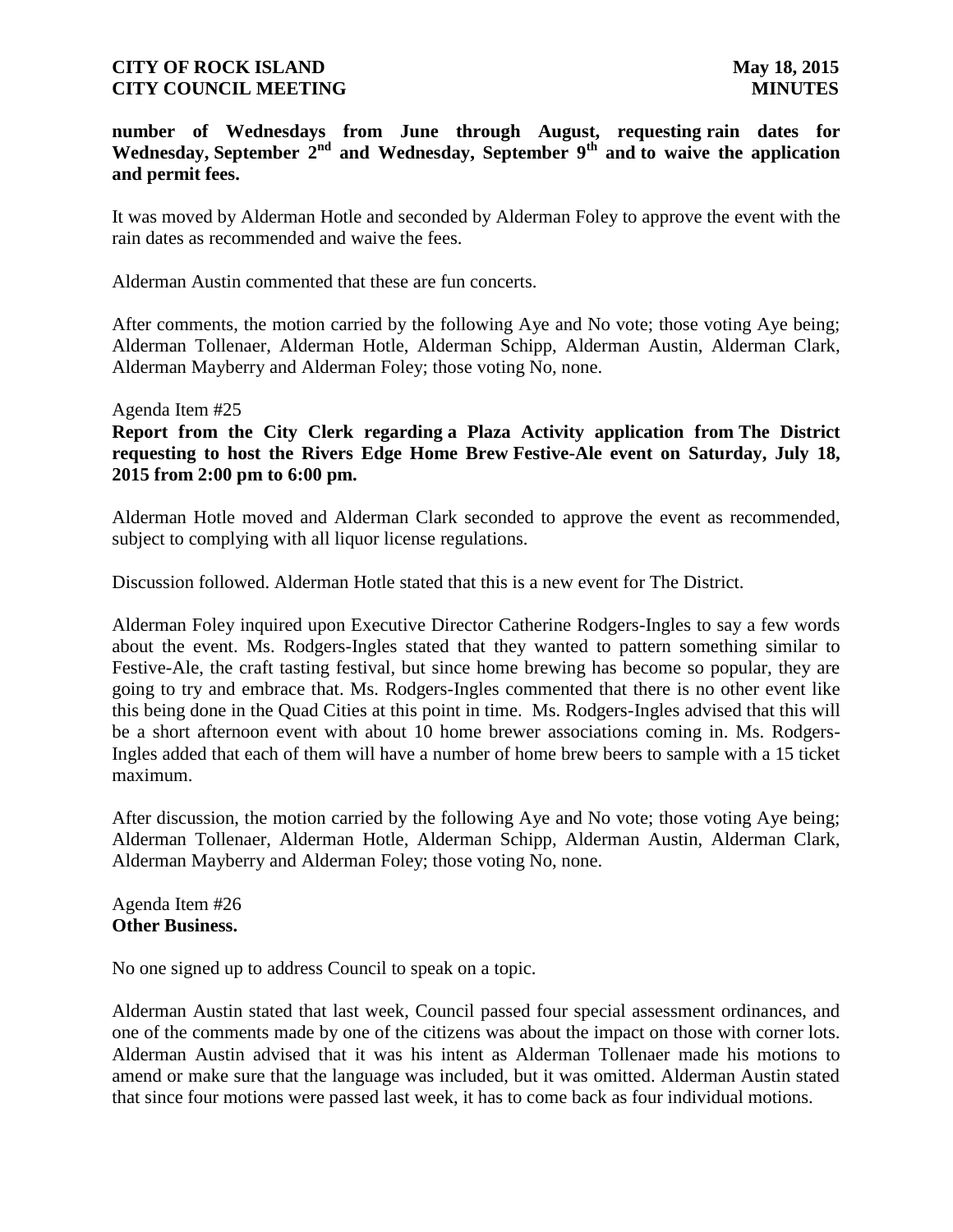**number of Wednesdays from June through August, requesting rain dates for Wednesday, September 2nd and Wednesday, September 9th and to waive the application and permit fees.**

It was moved by Alderman Hotle and seconded by Alderman Foley to approve the event with the rain dates as recommended and waive the fees.

Alderman Austin commented that these are fun concerts.

After comments, the motion carried by the following Aye and No vote; those voting Aye being; Alderman Tollenaer, Alderman Hotle, Alderman Schipp, Alderman Austin, Alderman Clark, Alderman Mayberry and Alderman Foley; those voting No, none.

#### Agenda Item #25

**Report from the City Clerk regarding a Plaza Activity application from The District requesting to host the Rivers Edge Home Brew Festive-Ale event on Saturday, July 18, 2015 from 2:00 pm to 6:00 pm.**

Alderman Hotle moved and Alderman Clark seconded to approve the event as recommended, subject to complying with all liquor license regulations.

Discussion followed. Alderman Hotle stated that this is a new event for The District.

Alderman Foley inquired upon Executive Director Catherine Rodgers-Ingles to say a few words about the event. Ms. Rodgers-Ingles stated that they wanted to pattern something similar to Festive-Ale, the craft tasting festival, but since home brewing has become so popular, they are going to try and embrace that. Ms. Rodgers-Ingles commented that there is no other event like this being done in the Quad Cities at this point in time. Ms. Rodgers-Ingles advised that this will be a short afternoon event with about 10 home brewer associations coming in. Ms. Rodgers-Ingles added that each of them will have a number of home brew beers to sample with a 15 ticket maximum.

After discussion, the motion carried by the following Aye and No vote; those voting Aye being; Alderman Tollenaer, Alderman Hotle, Alderman Schipp, Alderman Austin, Alderman Clark, Alderman Mayberry and Alderman Foley; those voting No, none.

Agenda Item #26 **Other Business.**

No one signed up to address Council to speak on a topic.

Alderman Austin stated that last week, Council passed four special assessment ordinances, and one of the comments made by one of the citizens was about the impact on those with corner lots. Alderman Austin advised that it was his intent as Alderman Tollenaer made his motions to amend or make sure that the language was included, but it was omitted. Alderman Austin stated that since four motions were passed last week, it has to come back as four individual motions.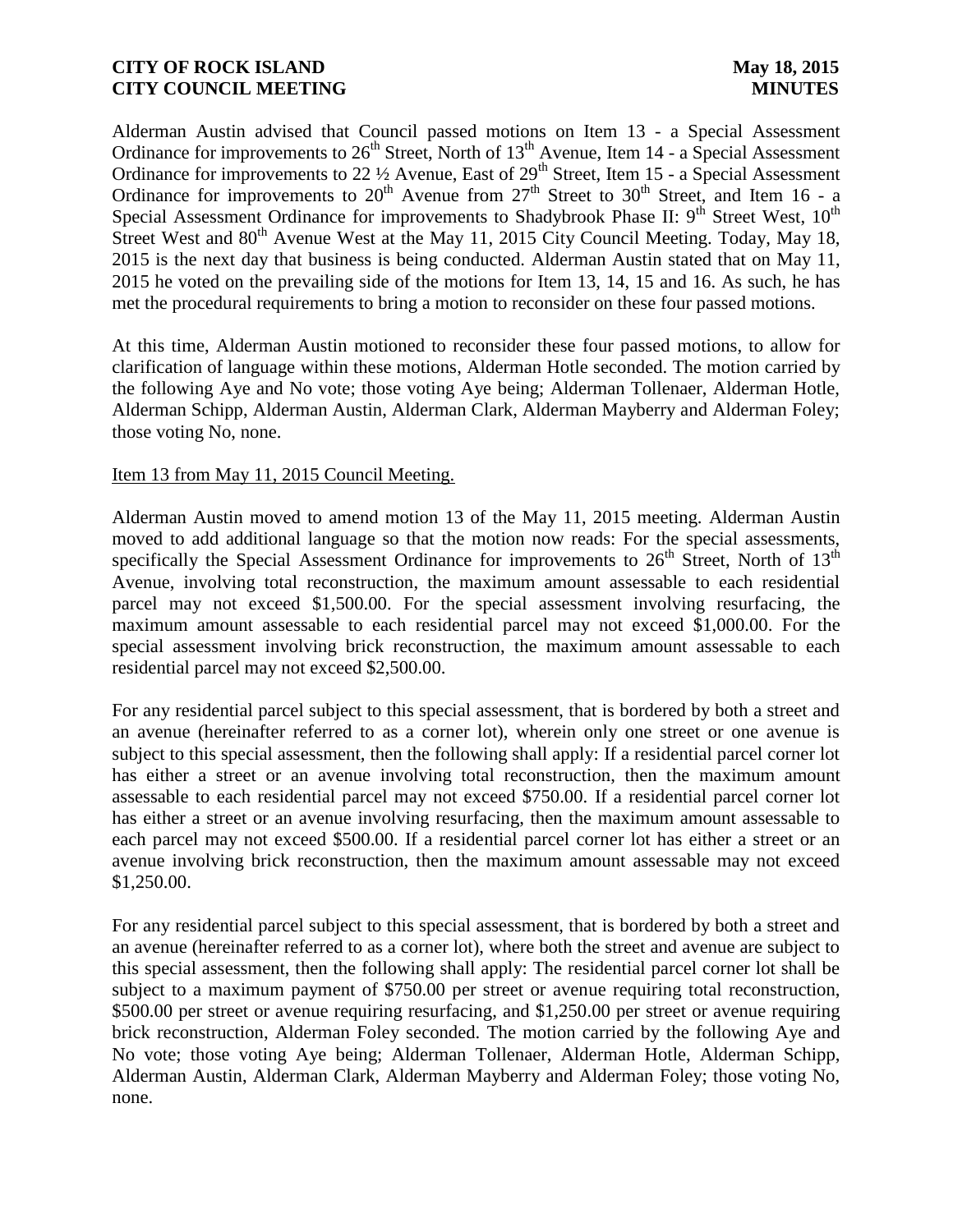Alderman Austin advised that Council passed motions on Item 13 - a Special Assessment Ordinance for improvements to  $26<sup>th</sup>$  Street, North of  $13<sup>th</sup>$  Avenue, Item 14 - a Special Assessment Ordinance for improvements to 22  $\frac{1}{2}$  Avenue, East of 29<sup>th</sup> Street, Item 15 - a Special Assessment Ordinance for improvements to  $20^{th}$  Avenue from  $27^{th}$  Street to  $30^{th}$  Street, and Item 16 - a Special Assessment Ordinance for improvements to Shadybrook Phase II: 9<sup>th</sup> Street West, 10<sup>th</sup> Street West and 80<sup>th</sup> Avenue West at the May 11, 2015 City Council Meeting. Today, May 18, 2015 is the next day that business is being conducted. Alderman Austin stated that on May 11, 2015 he voted on the prevailing side of the motions for Item 13, 14, 15 and 16. As such, he has met the procedural requirements to bring a motion to reconsider on these four passed motions.

At this time, Alderman Austin motioned to reconsider these four passed motions, to allow for clarification of language within these motions, Alderman Hotle seconded. The motion carried by the following Aye and No vote; those voting Aye being; Alderman Tollenaer, Alderman Hotle, Alderman Schipp, Alderman Austin, Alderman Clark, Alderman Mayberry and Alderman Foley; those voting No, none.

### Item 13 from May 11, 2015 Council Meeting.

Alderman Austin moved to amend motion 13 of the May 11, 2015 meeting. Alderman Austin moved to add additional language so that the motion now reads: For the special assessments, specifically the Special Assessment Ordinance for improvements to 26<sup>th</sup> Street, North of 13<sup>th</sup> Avenue, involving total reconstruction, the maximum amount assessable to each residential parcel may not exceed \$1,500.00. For the special assessment involving resurfacing, the maximum amount assessable to each residential parcel may not exceed \$1,000.00. For the special assessment involving brick reconstruction, the maximum amount assessable to each residential parcel may not exceed \$2,500.00.

For any residential parcel subject to this special assessment, that is bordered by both a street and an avenue (hereinafter referred to as a corner lot), wherein only one street or one avenue is subject to this special assessment, then the following shall apply: If a residential parcel corner lot has either a street or an avenue involving total reconstruction, then the maximum amount assessable to each residential parcel may not exceed \$750.00. If a residential parcel corner lot has either a street or an avenue involving resurfacing, then the maximum amount assessable to each parcel may not exceed \$500.00. If a residential parcel corner lot has either a street or an avenue involving brick reconstruction, then the maximum amount assessable may not exceed \$1,250.00.

For any residential parcel subject to this special assessment, that is bordered by both a street and an avenue (hereinafter referred to as a corner lot), where both the street and avenue are subject to this special assessment, then the following shall apply: The residential parcel corner lot shall be subject to a maximum payment of \$750.00 per street or avenue requiring total reconstruction, \$500.00 per street or avenue requiring resurfacing, and \$1,250.00 per street or avenue requiring brick reconstruction, Alderman Foley seconded. The motion carried by the following Aye and No vote; those voting Aye being; Alderman Tollenaer, Alderman Hotle, Alderman Schipp, Alderman Austin, Alderman Clark, Alderman Mayberry and Alderman Foley; those voting No, none.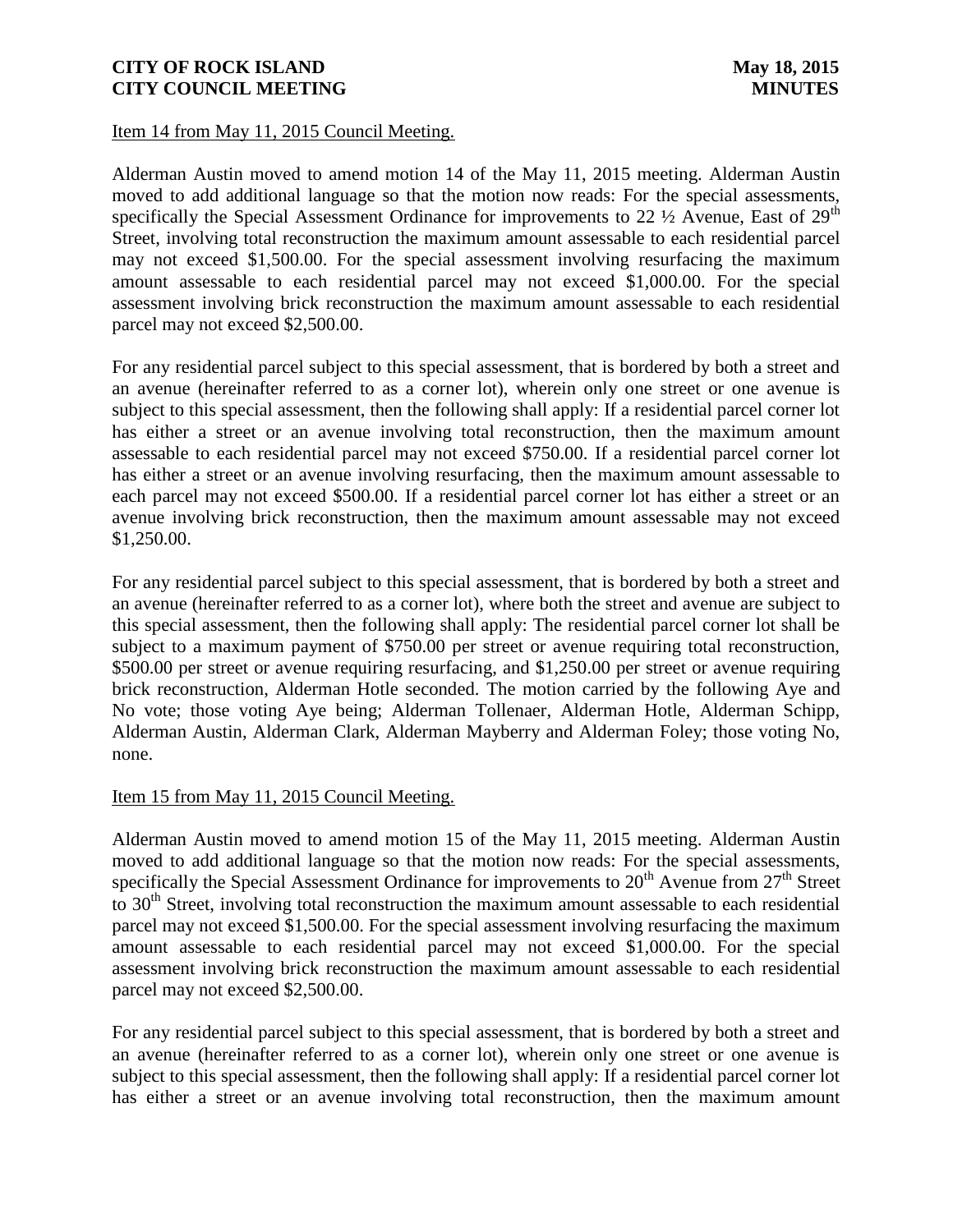### Item 14 from May 11, 2015 Council Meeting.

Alderman Austin moved to amend motion 14 of the May 11, 2015 meeting. Alderman Austin moved to add additional language so that the motion now reads: For the special assessments, specifically the Special Assessment Ordinance for improvements to 22  $\frac{1}{2}$  Avenue, East of 29<sup>th</sup> Street, involving total reconstruction the maximum amount assessable to each residential parcel may not exceed \$1,500.00. For the special assessment involving resurfacing the maximum amount assessable to each residential parcel may not exceed \$1,000.00. For the special assessment involving brick reconstruction the maximum amount assessable to each residential parcel may not exceed \$2,500.00.

For any residential parcel subject to this special assessment, that is bordered by both a street and an avenue (hereinafter referred to as a corner lot), wherein only one street or one avenue is subject to this special assessment, then the following shall apply: If a residential parcel corner lot has either a street or an avenue involving total reconstruction, then the maximum amount assessable to each residential parcel may not exceed \$750.00. If a residential parcel corner lot has either a street or an avenue involving resurfacing, then the maximum amount assessable to each parcel may not exceed \$500.00. If a residential parcel corner lot has either a street or an avenue involving brick reconstruction, then the maximum amount assessable may not exceed \$1,250.00.

For any residential parcel subject to this special assessment, that is bordered by both a street and an avenue (hereinafter referred to as a corner lot), where both the street and avenue are subject to this special assessment, then the following shall apply: The residential parcel corner lot shall be subject to a maximum payment of \$750.00 per street or avenue requiring total reconstruction, \$500.00 per street or avenue requiring resurfacing, and \$1,250.00 per street or avenue requiring brick reconstruction, Alderman Hotle seconded. The motion carried by the following Aye and No vote; those voting Aye being; Alderman Tollenaer, Alderman Hotle, Alderman Schipp, Alderman Austin, Alderman Clark, Alderman Mayberry and Alderman Foley; those voting No, none.

### Item 15 from May 11, 2015 Council Meeting.

Alderman Austin moved to amend motion 15 of the May 11, 2015 meeting. Alderman Austin moved to add additional language so that the motion now reads: For the special assessments, specifically the Special Assessment Ordinance for improvements to  $20<sup>th</sup>$  Avenue from  $27<sup>th</sup>$  Street to  $30<sup>th</sup>$  Street, involving total reconstruction the maximum amount assessable to each residential parcel may not exceed \$1,500.00. For the special assessment involving resurfacing the maximum amount assessable to each residential parcel may not exceed \$1,000.00. For the special assessment involving brick reconstruction the maximum amount assessable to each residential parcel may not exceed \$2,500.00.

For any residential parcel subject to this special assessment, that is bordered by both a street and an avenue (hereinafter referred to as a corner lot), wherein only one street or one avenue is subject to this special assessment, then the following shall apply: If a residential parcel corner lot has either a street or an avenue involving total reconstruction, then the maximum amount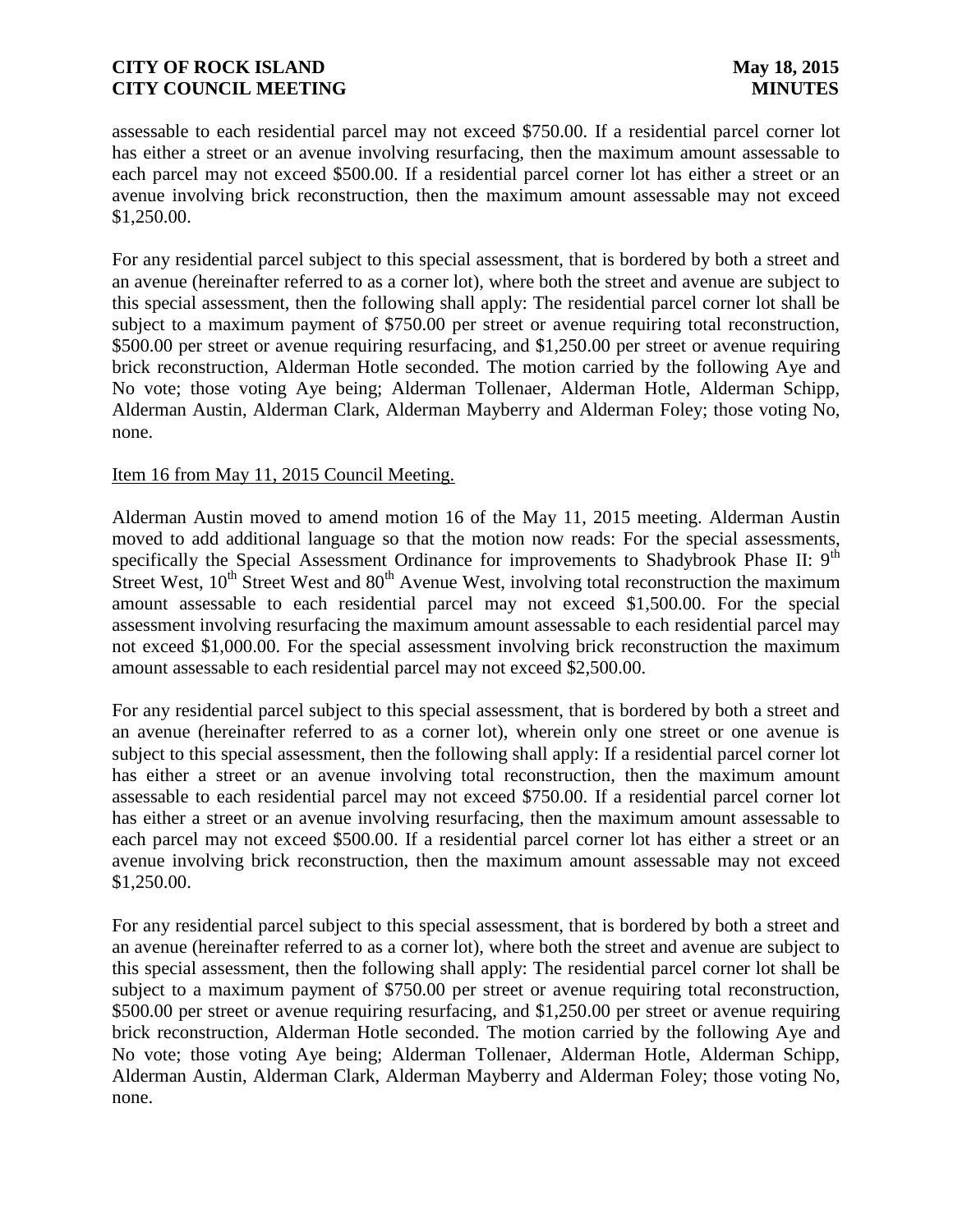assessable to each residential parcel may not exceed \$750.00. If a residential parcel corner lot has either a street or an avenue involving resurfacing, then the maximum amount assessable to each parcel may not exceed \$500.00. If a residential parcel corner lot has either a street or an avenue involving brick reconstruction, then the maximum amount assessable may not exceed \$1,250.00.

For any residential parcel subject to this special assessment, that is bordered by both a street and an avenue (hereinafter referred to as a corner lot), where both the street and avenue are subject to this special assessment, then the following shall apply: The residential parcel corner lot shall be subject to a maximum payment of \$750.00 per street or avenue requiring total reconstruction, \$500.00 per street or avenue requiring resurfacing, and \$1,250.00 per street or avenue requiring brick reconstruction, Alderman Hotle seconded. The motion carried by the following Aye and No vote; those voting Aye being; Alderman Tollenaer, Alderman Hotle, Alderman Schipp, Alderman Austin, Alderman Clark, Alderman Mayberry and Alderman Foley; those voting No, none.

### Item 16 from May 11, 2015 Council Meeting.

Alderman Austin moved to amend motion 16 of the May 11, 2015 meeting. Alderman Austin moved to add additional language so that the motion now reads: For the special assessments, specifically the Special Assessment Ordinance for improvements to Shadybrook Phase II: 9<sup>th</sup> Street West,  $10^{th}$  Street West and  $80^{th}$  Avenue West, involving total reconstruction the maximum amount assessable to each residential parcel may not exceed \$1,500.00. For the special assessment involving resurfacing the maximum amount assessable to each residential parcel may not exceed \$1,000.00. For the special assessment involving brick reconstruction the maximum amount assessable to each residential parcel may not exceed \$2,500.00.

For any residential parcel subject to this special assessment, that is bordered by both a street and an avenue (hereinafter referred to as a corner lot), wherein only one street or one avenue is subject to this special assessment, then the following shall apply: If a residential parcel corner lot has either a street or an avenue involving total reconstruction, then the maximum amount assessable to each residential parcel may not exceed \$750.00. If a residential parcel corner lot has either a street or an avenue involving resurfacing, then the maximum amount assessable to each parcel may not exceed \$500.00. If a residential parcel corner lot has either a street or an avenue involving brick reconstruction, then the maximum amount assessable may not exceed \$1,250.00.

For any residential parcel subject to this special assessment, that is bordered by both a street and an avenue (hereinafter referred to as a corner lot), where both the street and avenue are subject to this special assessment, then the following shall apply: The residential parcel corner lot shall be subject to a maximum payment of \$750.00 per street or avenue requiring total reconstruction, \$500.00 per street or avenue requiring resurfacing, and \$1,250.00 per street or avenue requiring brick reconstruction, Alderman Hotle seconded. The motion carried by the following Aye and No vote; those voting Aye being; Alderman Tollenaer, Alderman Hotle, Alderman Schipp, Alderman Austin, Alderman Clark, Alderman Mayberry and Alderman Foley; those voting No, none.